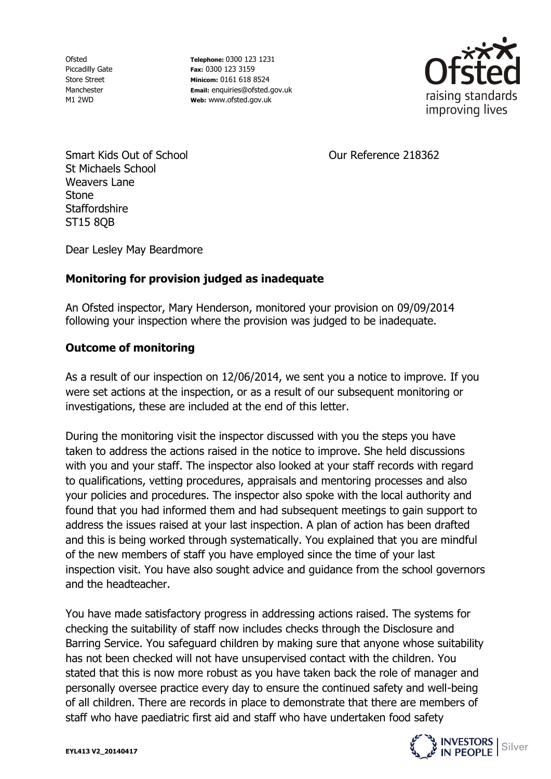Ofsted Piccadilly Gate Store Street Manchester M1 2WD

**Telephone:** 0300 123 1231 **Fax:** 0300 123 3159 **Minicom:** 0161 618 8524 **Email:** enquiries@ofsted.gov.uk **Web:** www.ofsted.gov.uk



Smart Kids Out of School St Michaels School Weavers Lane **Stone Staffordshire** ST15 8QB

Our Reference 218362

Dear Lesley May Beardmore

## **Monitoring for provision judged as inadequate**

An Ofsted inspector, Mary Henderson, monitored your provision on 09/09/2014 following your inspection where the provision was judged to be inadequate.

## **Outcome of monitoring**

As a result of our inspection on 12/06/2014, we sent you a notice to improve. If you were set actions at the inspection, or as a result of our subsequent monitoring or investigations, these are included at the end of this letter.

During the monitoring visit the inspector discussed with you the steps you have taken to address the actions raised in the notice to improve. She held discussions with you and your staff. The inspector also looked at your staff records with regard to qualifications, vetting procedures, appraisals and mentoring processes and also your policies and procedures. The inspector also spoke with the local authority and found that you had informed them and had subsequent meetings to gain support to address the issues raised at your last inspection. A plan of action has been drafted and this is being worked through systematically. You explained that you are mindful of the new members of staff you have employed since the time of your last inspection visit. You have also sought advice and guidance from the school governors and the headteacher.

You have made satisfactory progress in addressing actions raised. The systems for checking the suitability of staff now includes checks through the Disclosure and Barring Service. You safeguard children by making sure that anyone whose suitability has not been checked will not have unsupervised contact with the children. You stated that this is now more robust as you have taken back the role of manager and personally oversee practice every day to ensure the continued safety and well-being of all children. There are records in place to demonstrate that there are members of staff who have paediatric first aid and staff who have undertaken food safety

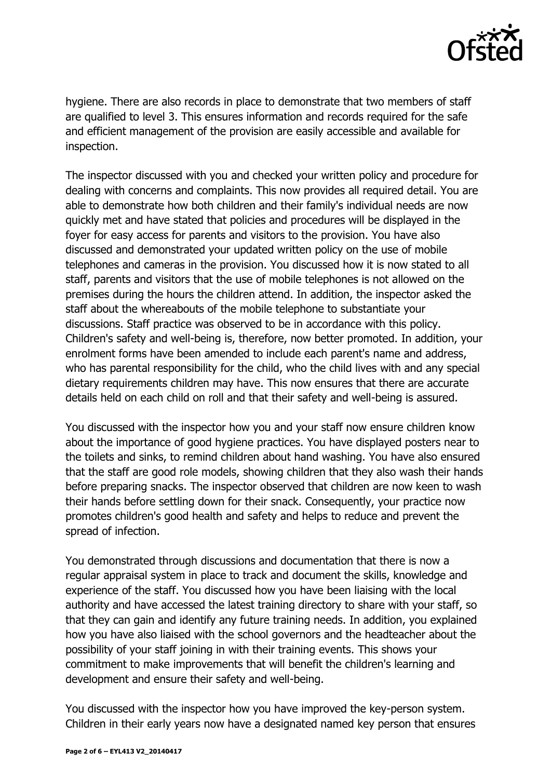

hygiene. There are also records in place to demonstrate that two members of staff are qualified to level 3. This ensures information and records required for the safe and efficient management of the provision are easily accessible and available for inspection.

The inspector discussed with you and checked your written policy and procedure for dealing with concerns and complaints. This now provides all required detail. You are able to demonstrate how both children and their family's individual needs are now quickly met and have stated that policies and procedures will be displayed in the foyer for easy access for parents and visitors to the provision. You have also discussed and demonstrated your updated written policy on the use of mobile telephones and cameras in the provision. You discussed how it is now stated to all staff, parents and visitors that the use of mobile telephones is not allowed on the premises during the hours the children attend. In addition, the inspector asked the staff about the whereabouts of the mobile telephone to substantiate your discussions. Staff practice was observed to be in accordance with this policy. Children's safety and well-being is, therefore, now better promoted. In addition, your enrolment forms have been amended to include each parent's name and address, who has parental responsibility for the child, who the child lives with and any special dietary requirements children may have. This now ensures that there are accurate details held on each child on roll and that their safety and well-being is assured.

You discussed with the inspector how you and your staff now ensure children know about the importance of good hygiene practices. You have displayed posters near to the toilets and sinks, to remind children about hand washing. You have also ensured that the staff are good role models, showing children that they also wash their hands before preparing snacks. The inspector observed that children are now keen to wash their hands before settling down for their snack. Consequently, your practice now promotes children's good health and safety and helps to reduce and prevent the spread of infection.

You demonstrated through discussions and documentation that there is now a regular appraisal system in place to track and document the skills, knowledge and experience of the staff. You discussed how you have been liaising with the local authority and have accessed the latest training directory to share with your staff, so that they can gain and identify any future training needs. In addition, you explained how you have also liaised with the school governors and the headteacher about the possibility of your staff joining in with their training events. This shows your commitment to make improvements that will benefit the children's learning and development and ensure their safety and well-being.

You discussed with the inspector how you have improved the key-person system. Children in their early years now have a designated named key person that ensures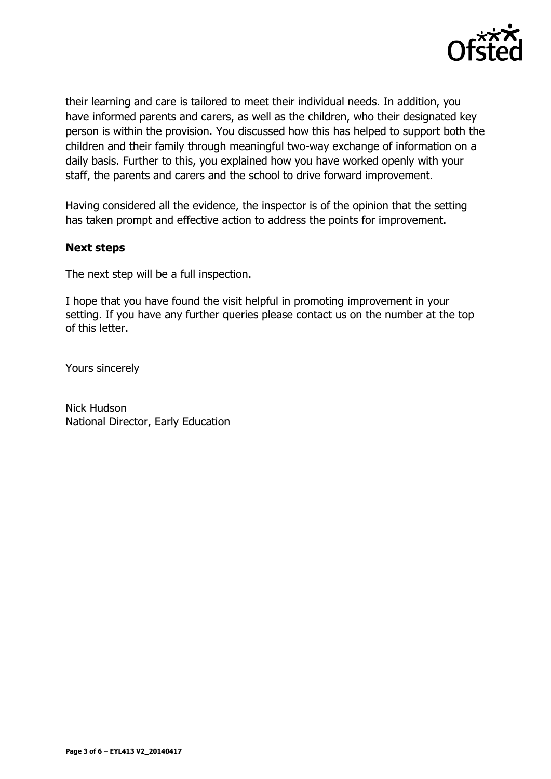

their learning and care is tailored to meet their individual needs. In addition, you have informed parents and carers, as well as the children, who their designated key person is within the provision. You discussed how this has helped to support both the children and their family through meaningful two-way exchange of information on a daily basis. Further to this, you explained how you have worked openly with your staff, the parents and carers and the school to drive forward improvement.

Having considered all the evidence, the inspector is of the opinion that the setting has taken prompt and effective action to address the points for improvement.

## **Next steps**

The next step will be a full inspection.

I hope that you have found the visit helpful in promoting improvement in your setting. If you have any further queries please contact us on the number at the top of this letter.

Yours sincerely

Nick Hudson National Director, Early Education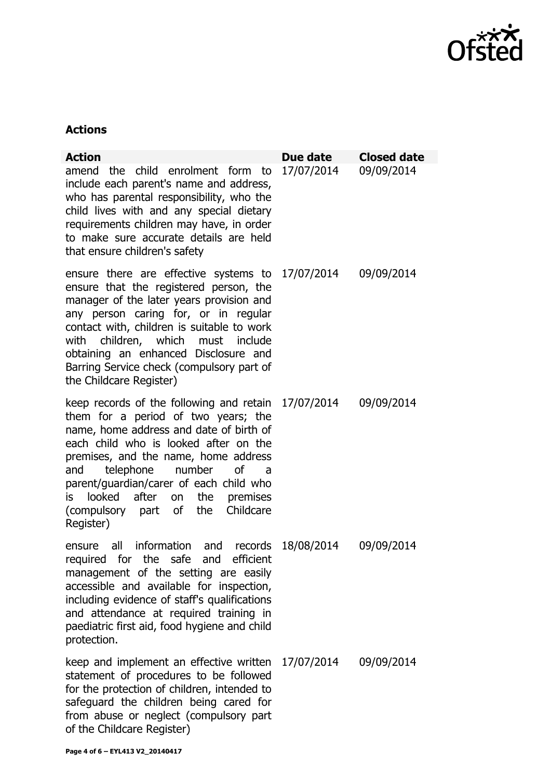

## **Actions**

| <b>Action</b>                                                                                                                                                                                                                                                                                                                                                                                          | Due date           | <b>Closed date</b> |
|--------------------------------------------------------------------------------------------------------------------------------------------------------------------------------------------------------------------------------------------------------------------------------------------------------------------------------------------------------------------------------------------------------|--------------------|--------------------|
| amend the child enrolment form to<br>include each parent's name and address,<br>who has parental responsibility, who the<br>child lives with and any special dietary<br>requirements children may have, in order<br>to make sure accurate details are held<br>that ensure children's safety                                                                                                            | 17/07/2014         | 09/09/2014         |
| ensure there are effective systems to $17/07/2014$<br>ensure that the registered person, the<br>manager of the later years provision and<br>any person caring for, or in regular<br>contact with, children is suitable to work<br>with children, which must include<br>obtaining an enhanced Disclosure and<br>Barring Service check (compulsory part of<br>the Childcare Register)                    |                    | 09/09/2014         |
| keep records of the following and retain 17/07/2014<br>them for a period of two years; the<br>name, home address and date of birth of<br>each child who is looked after on the<br>premises, and the name, home address<br>telephone number<br><b>of</b><br>and<br>a<br>parent/guardian/carer of each child who<br>is looked after on the<br>premises<br>(compulsory part of the Childcare<br>Register) |                    | 09/09/2014         |
| all information and<br>ensure<br>efficient<br>for the safe<br>required<br>and<br>management of the setting are easily<br>accessible and available for inspection,<br>including evidence of staff's qualifications<br>and attendance at required training in<br>paediatric first aid, food hygiene and child<br>protection.                                                                             | records 18/08/2014 | 09/09/2014         |
| keep and implement an effective written<br>statement of procedures to be followed<br>for the protection of children, intended to<br>safeguard the children being cared for<br>from abuse or neglect (compulsory part<br>of the Childcare Register)                                                                                                                                                     | 17/07/2014         | 09/09/2014         |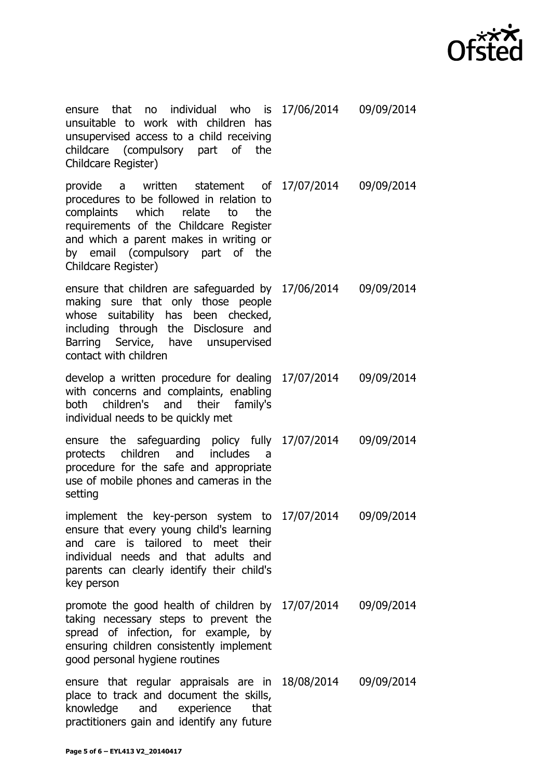

ensure that no individual who unsuitable to work with children has unsupervised access to a child receiving childcare (compulsory part of the Childcare Register) 17/06/2014 09/09/2014

provide a written statement procedures to be followed in relation to complaints which relate to the requirements of the Childcare Register and which a parent makes in writing or by email (compulsory part of the Childcare Register) 17/07/2014 09/09/2014

ensure that children are safeguarded by 17/06/2014 09/09/2014 making sure that only those people whose suitability has been checked, including through the Disclosure and Barring Service, have unsupervised contact with children

develop a written procedure for dealing 17/07/2014 09/09/2014 with concerns and complaints, enabling both children's and their family's individual needs to be quickly met

ensure the safeguarding policy fully 17/07/2014 09/09/2014 protects children and includes a procedure for the safe and appropriate use of mobile phones and cameras in the setting

implement the key-person system to 17/07/2014 09/09/2014 ensure that every young child's learning and care is tailored to meet their individual needs and that adults and parents can clearly identify their child's key person

promote the good health of children by 17/07/2014 09/09/2014 taking necessary steps to prevent the spread of infection, for example, by ensuring children consistently implement good personal hygiene routines

ensure that regular appraisals are in 18/08/2014 09/09/2014place to track and document the skills, knowledge and experience that practitioners gain and identify any future